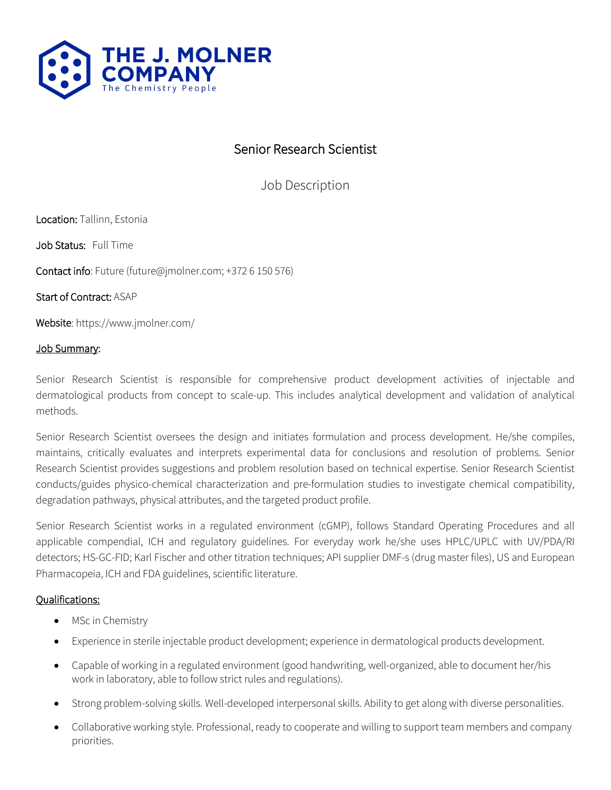

# Senior Research Scientist

Job Description

Location: Tallinn, Estonia

Job Status: Full Time

Contact info: Future (future@jmolner.com; +372 6 150 576)

Start of Contract: ASAP

Website: https://www.jmolner.com/

#### Job Summary:

Senior Research Scientist is responsible for comprehensive product development activities of injectable and dermatological products from concept to scale-up. This includes analytical development and validation of analytical methods.

Senior Research Scientist oversees the design and initiates formulation and process development. He/she compiles, maintains, critically evaluates and interprets experimental data for conclusions and resolution of problems. Senior Research Scientist provides suggestions and problem resolution based on technical expertise. Senior Research Scientist conducts/guides physico-chemical characterization and pre-formulation studies to investigate chemical compatibility, degradation pathways, physical attributes, and the targeted product profile.

Senior Research Scientist works in a regulated environment (cGMP), follows Standard Operating Procedures and all applicable compendial, ICH and regulatory guidelines. For everyday work he/she uses HPLC/UPLC with UV/PDA/RI detectors; HS-GC-FID; Karl Fischer and other titration techniques; API supplier DMF-s (drug master files), US and European Pharmacopeia, ICH and FDA guidelines, scientific literature.

# Qualifications:

- MSc in Chemistry
- Experience in sterile injectable product development; experience in dermatological products development.
- Capable of working in a regulated environment (good handwriting, well-organized, able to document her/his work in laboratory, able to follow strict rules and regulations).
- Strong problem-solving skills. Well-developed interpersonal skills. Ability to get along with diverse personalities.
- Collaborative working style. Professional, ready to cooperate and willing to support team members and company priorities.